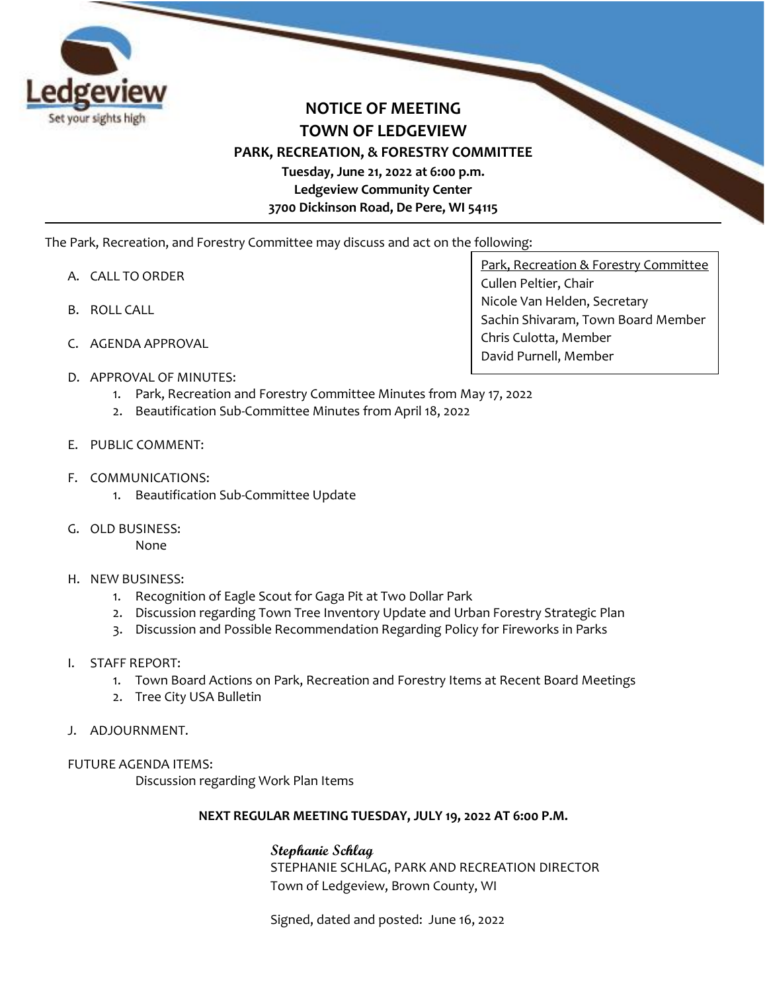

## **NOTICE OF MEETING TOWN OF LEDGEVIEW PARK, RECREATION, & FORESTRY COMMITTEE Tuesday, June 21, 2022 at 6:00 p.m. Ledgeview Community Center 3700 Dickinson Road, De Pere, WI 54115**

The Park, Recreation, and Forestry Committee may discuss and act on the following:

- A. CALL TO ORDER
- B. ROLL CALL
- C. AGENDA APPROVAL

Park, Recreation & Forestry Committee Cullen Peltier, Chair Nicole Van Helden, Secretary Sachin Shivaram, Town Board Member Chris Culotta, Member David Purnell, Member

- D. APPROVAL OF MINUTES:
	- 1. Park, Recreation and Forestry Committee Minutes from May 17, 2022
	- 2. Beautification Sub-Committee Minutes from April 18, 2022
- E. PUBLIC COMMENT:
- F. COMMUNICATIONS:
	- 1. Beautification Sub-Committee Update
- G. OLD BUSINESS:

None

- H. NEW BUSINESS:
	- 1. Recognition of Eagle Scout for Gaga Pit at Two Dollar Park
	- 2. Discussion regarding Town Tree Inventory Update and Urban Forestry Strategic Plan
	- 3. Discussion and Possible Recommendation Regarding Policy for Fireworks in Parks
- I. STAFF REPORT:
	- 1. Town Board Actions on Park, Recreation and Forestry Items at Recent Board Meetings
	- 2. Tree City USA Bulletin
- J. ADJOURNMENT.

## FUTURE AGENDA ITEMS:

Discussion regarding Work Plan Items

## **NEXT REGULAR MEETING TUESDAY, JULY 19, 2022 AT 6:00 P.M.**

## **Stephanie Schlag**

STEPHANIE SCHLAG, PARK AND RECREATION DIRECTOR Town of Ledgeview, Brown County, WI

Signed, dated and posted: June 16, 2022